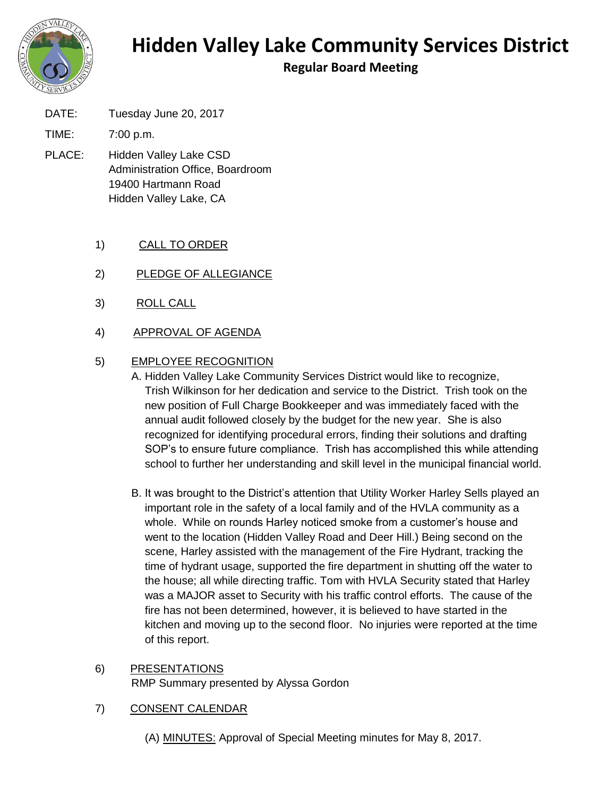

## **Hidden Valley Lake Community Services District**

**Regular Board Meeting**

DATE: Tuesday June 20, 2017

TIME: 7:00 p.m.

PLACE: Hidden Valley Lake CSD Administration Office, Boardroom 19400 Hartmann Road Hidden Valley Lake, CA

## 1) CALL TO ORDER

- 2) PLEDGE OF ALLEGIANCE
- 3) ROLL CALL
- 4) APPROVAL OF AGENDA

## 5) EMPLOYEE RECOGNITION

A. Hidden Valley Lake Community Services District would like to recognize, Trish Wilkinson for her dedication and service to the District. Trish took on the new position of Full Charge Bookkeeper and was immediately faced with the annual audit followed closely by the budget for the new year. She is also recognized for identifying procedural errors, finding their solutions and drafting SOP's to ensure future compliance. Trish has accomplished this while attending school to further her understanding and skill level in the municipal financial world.

- B. It was brought to the District's attention that Utility Worker Harley Sells played an important role in the safety of a local family and of the HVLA community as a whole. While on rounds Harley noticed smoke from a customer's house and went to the location (Hidden Valley Road and Deer Hill.) Being second on the scene, Harley assisted with the management of the Fire Hydrant, tracking the time of hydrant usage, supported the fire department in shutting off the water to the house; all while directing traffic. Tom with HVLA Security stated that Harley was a MAJOR asset to Security with his traffic control efforts. The cause of the fire has not been determined, however, it is believed to have started in the kitchen and moving up to the second floor. No injuries were reported at the time of this report.
- 6) PRESENTATIONS RMP Summary presented by Alyssa Gordon
- 7) CONSENT CALENDAR
	- (A) MINUTES: Approval of Special Meeting minutes for May 8, 2017.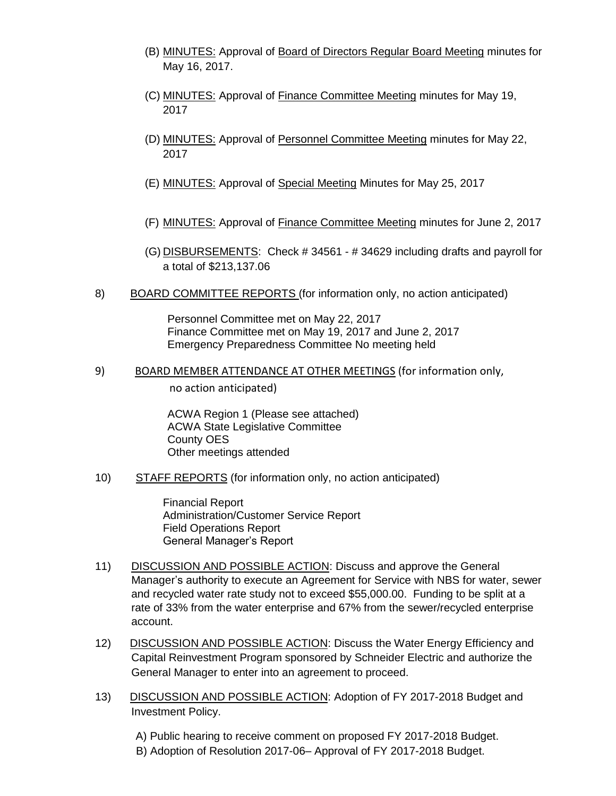- (B) MINUTES: Approval of Board of Directors Regular Board Meeting minutes for May 16, 2017.
- (C) MINUTES: Approval of Finance Committee Meeting minutes for May 19, 2017
- (D) MINUTES: Approval of Personnel Committee Meeting minutes for May 22, 2017
- (E) MINUTES: Approval of Special Meeting Minutes for May 25, 2017
- (F) MINUTES: Approval of Finance Committee Meeting minutes for June 2, 2017
- (G) DISBURSEMENTS: Check # 34561 # 34629 including drafts and payroll for a total of \$213,137.06
- 8) BOARD COMMITTEE REPORTS (for information only, no action anticipated)

Personnel Committee met on May 22, 2017 Finance Committee met on May 19, 2017 and June 2, 2017 Emergency Preparedness Committee No meeting held

9) BOARD MEMBER ATTENDANCE AT OTHER MEETINGS (for information only, no action anticipated)

> ACWA Region 1 (Please see attached) ACWA State Legislative Committee County OES Other meetings attended

10) STAFF REPORTS (for information only, no action anticipated)

Financial Report Administration/Customer Service Report Field Operations Report General Manager's Report

- 11) DISCUSSION AND POSSIBLE ACTION: Discuss and approve the General Manager's authority to execute an Agreement for Service with NBS for water, sewer and recycled water rate study not to exceed \$55,000.00. Funding to be split at a rate of 33% from the water enterprise and 67% from the sewer/recycled enterprise account.
- 12) DISCUSSION AND POSSIBLE ACTION: Discuss the Water Energy Efficiency and Capital Reinvestment Program sponsored by Schneider Electric and authorize the General Manager to enter into an agreement to proceed.
- 13) DISCUSSION AND POSSIBLE ACTION: Adoption of FY 2017-2018 Budget and Investment Policy.

A) Public hearing to receive comment on proposed FY 2017-2018 Budget. B) Adoption of Resolution 2017-06– Approval of FY 2017-2018 Budget.